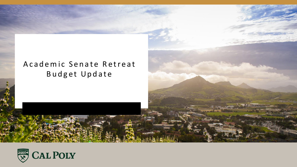#### A c a d e m i c S e n a t e R e t r e a t Budget Update

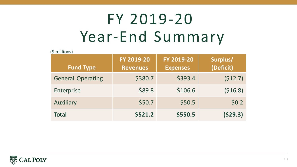# FY 2019-20 Year-End Summary

| $(5$ millions)           |                               |                               |                       |  |
|--------------------------|-------------------------------|-------------------------------|-----------------------|--|
| <b>Fund Type</b>         | FY 2019-20<br><b>Revenues</b> | FY 2019-20<br><b>Expenses</b> | Surplus/<br>(Deficit) |  |
| <b>General Operating</b> | \$380.7                       | \$393.4                       | (512.7)               |  |
| <b>Enterprise</b>        | \$89.8                        | \$106.6                       | (516.8)               |  |
| Auxiliary                | \$50.7                        | \$50.5                        | \$0.2                 |  |
| <b>Total</b>             | \$521.2                       | \$550.5                       | (529.3)               |  |

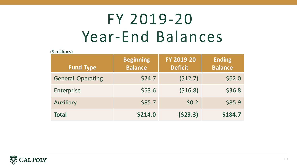# FY 2019-20 Year-End Balances

(\$ millions)

| <b>Fund Type</b>         | <b>Beginning</b><br><b>Balance</b> | FY 2019-20<br><b>Deficit</b> | <b>Ending</b><br><b>Balance</b> |  |
|--------------------------|------------------------------------|------------------------------|---------------------------------|--|
| <b>General Operating</b> | \$74.7                             | (512.7)                      | \$62.0                          |  |
| Enterprise               | \$53.6                             | (516.8)                      | \$36.8                          |  |
| Auxiliary                | \$85.7                             | \$0.2                        | \$85.9                          |  |
| <b>Total</b>             | \$214.0                            | (529.3)                      | \$184.7                         |  |

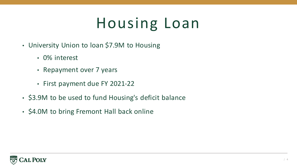### Housing Loan

- University Union to loan \$7.9M to Housing
	- 0% interest
	- Repayment over 7 years
	- First payment due FY 2021-22
- \$3.9M to be used to fund Housing's deficit balance
- \$4.0M to bring Fremont Hall back online

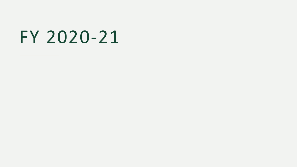# FY 2020-21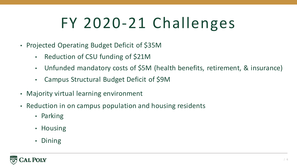# FY 2020-21 Challenges

- Projected Operating Budget Deficit of \$35M
	- Reduction of CSU funding of \$21M
	- Unfunded mandatory costs of \$5M (health benefits, retirement, & insurance)
	- Campus Structural Budget Deficit of \$9M
- Majority virtual learning environment
- Reduction in on campus population and housing residents
	- Parking
	- Housing
	- Dining

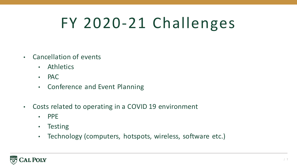### FY 2020-21 Challenges

- Cancellation of events
	- Athletics
	- PAC
	- Conference and Event Planning
- Costs related to operating in a COVID 19 environment
	- PPE
	- Testing
	- Technology (computers, hotspots, wireless, software etc.)

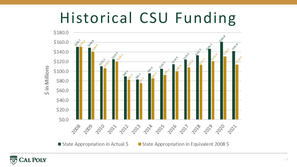### Historical CSU Funding



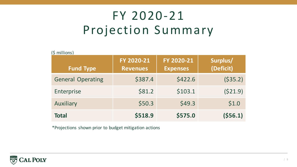### FY 2020-21 Projection Summary

| $(5$ millions)           |                               |                               |                       |  |
|--------------------------|-------------------------------|-------------------------------|-----------------------|--|
| <b>Fund Type</b>         | FY 2020-21<br><b>Revenues</b> | FY 2020-21<br><b>Expenses</b> | Surplus/<br>(Deficit) |  |
| <b>General Operating</b> | \$387.4                       | \$422.6                       | (535.2)               |  |
| Enterprise               | \$81.2                        | \$103.1                       | (521.9)               |  |
| Auxiliary                | \$50.3                        | \$49.3                        | \$1.0                 |  |
| <b>Total</b>             | \$518.9                       | \$575.0                       | (556.1)               |  |

\*Projections shown prior to budget mitigation actions

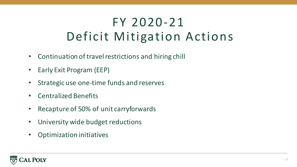### FY 2020-21 Deficit Mitigation Actions

- Continuation of travel restrictions and hiring chill
- Early Exit Program (EEP)
- Strategic use one-time funds and reserves
- Centralized Benefits
- Recapture of 50% of unit carryforwards
- University wide budget reductions
- Optimization initiatives

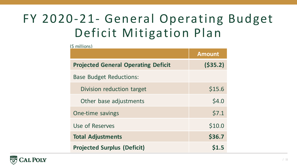### FY 2020-21- General Operating Budget Deficit Mitigation Plan

 $(6 \text{ million})$ 

|                                            | <b>Amount</b> |
|--------------------------------------------|---------------|
| <b>Projected General Operating Deficit</b> | (535.2)       |
| <b>Base Budget Reductions:</b>             |               |
| Division reduction target                  | \$15.6        |
| Other base adjustments                     | \$4.0         |
| One-time savings                           | \$7.1         |
| Use of Reserves                            | \$10.0        |
| <b>Total Adjustments</b>                   | \$36.7        |
| <b>Projected Surplus (Deficit)</b>         | \$1.5         |

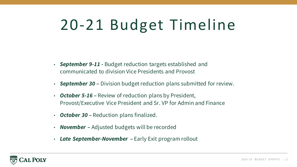# 20-21 Budget Timeline

- *September 9-11 -* Budget reduction targets established and communicated to division Vice Presidents and Provost
- *September 30 –* Division budget reduction plans submitted for review.
- *October 5-16 –* Review of reduction plans by President, Provost/Executive Vice President and Sr. VP for Admin and Finance
- *October 30 –* Reduction plans finalized.
- *November –* Adjusted budgets will be recorded
- *Late September-November –* Early Exit program rollout

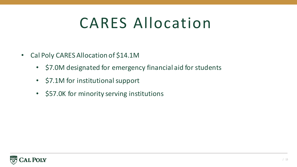### CARES Allocation

- Cal Poly CARES Allocation of \$14.1M
	- \$7.0M designated for emergency financial aid for students
	- \$7.1M for institutional support
	- \$57.0K for minority serving institutions

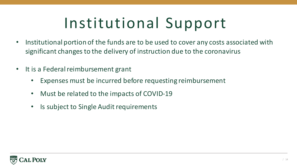# Institutional Support

- Institutional portion of the funds are to be used to cover any costs associated with significant changes to the delivery of instruction due to the coronavirus
- It is a Federal reimbursement grant
	- Expenses must be incurred before requesting reimbursement
	- Must be related to the impacts of COVID-19
	- Is subject to Single Audit requirements

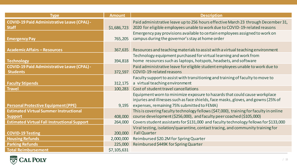| <b>Type</b>                                                           | <b>Amount</b> | <b>Description</b>                                                                                                                                                                                            |
|-----------------------------------------------------------------------|---------------|---------------------------------------------------------------------------------------------------------------------------------------------------------------------------------------------------------------|
| <b>COVID-19 Paid Administrative Leave (CPAL) -</b><br><b>Staff</b>    | \$1,686,723   | Paid administrative leave up to 256 hours effective March 23 through December 31,<br>2020 for eligible employees unable to work due to COVID-19-related reasons                                               |
| <b>Emergency Pay</b>                                                  | 765,205       | Emergency pay provisions available to certain employees assigned to work on<br>campus during the governor's stay at home order                                                                                |
| <b>Academic Affairs - Resources</b>                                   | 367,635       | Resources and teaching materials to assist with a virtual teaching environment                                                                                                                                |
| <b>Technology</b>                                                     | 394,818       | Technology equipment purchased for virtual learning and work from<br>home resources such as laptops, hotspots, headsets, and software                                                                         |
| <b>COVID-19 Paid Administrative Leave (CPAL) -</b><br><b>Students</b> | 372,597       | Paid administrative leave for eligible student employees unable to work due to<br>COVID-19-related reasons                                                                                                    |
| <b>Faculty Stipends</b>                                               | 312,175       | Faculty support to assist with transitioning and training of faculty to move to<br>a virtual teaching environment                                                                                             |
| <b>Travel</b>                                                         | 100,283       | Cost of student travel cancellations                                                                                                                                                                          |
| <b>Personal Protective Equipment (PPE)</b>                            | 9,195         | Equipment worn to minimize exposure to hazards that could cause workplace<br>injuries and illnesses such as face shields, face masks, gloves, and gowns (25% of<br>expenses, remaining 75% submitted to FEMA) |
| <b>Estimated Virtual Summer Instructional</b><br><b>Support</b>       | 408,000       | This is covering faculty technology fellows (\$47,000), training for faculty in online<br>course development (\$256,000), and faculty peer coached (\$105,000)                                                |
| <b>Estimated Virtual Fall Instructional Support</b>                   | 264,000       | Covers student assistants for \$131,000 and faculty technology fellows for \$133,000                                                                                                                          |
|                                                                       |               | Viral testing, isolation/quarantine, contact tracing, and community training for                                                                                                                              |
| <b>COVID-19 Testing</b>                                               | 200,000       | <b>Fall Quarter</b>                                                                                                                                                                                           |
| <b>Housing Refunds</b>                                                | 2,000,000     | Reimbursed \$20.2M for Spring Quarter                                                                                                                                                                         |
| <b>Parking Refunds</b>                                                | 225,000       | Reimbursed \$449K for Spring Quarter                                                                                                                                                                          |
| <b>Total Reimbursement</b>                                            | \$7,105,631   |                                                                                                                                                                                                               |